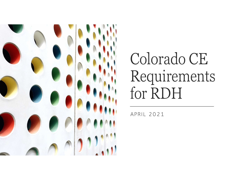

# Colorado CE Requirements for RDH

APRIL 2021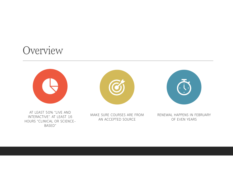#### **Overview**









MAKE SURE COURSES ARE FROM AN ACCEPTED SOURCE

RENEWAL HAPPENS IN FEBRUARY OF EVEN YEARS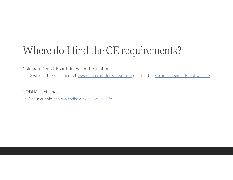### Where do I find the CE requirements?

Colorado Dental Board Rules and Regulations

◦ Download the document at www.codha.org/legislative-info or from the Colorado Dental Board website

CODHA Fact Sheet

◦ Also available at www.codha.org/legislative-info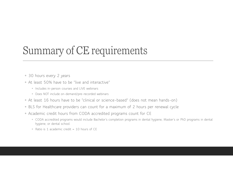#### Summary of CE requirements

- 30 hours every 2 years
- At least 50% have to be "live and interactive"
	- Includes in-person courses and LIVE webinars
	- Does NOT include on-demand/pre-recorded webinars
- At least 16 hours have to be "clinical or science-based" (does not mean hands-on)
- BLS for Healthcare providers can count for a maximum of 2 hours per renewal cycle
- Academic credit hours from CODA accredited programs count for CE
	- CODA accredited programs would include Bachelor's completion programs in dental hygiene, Master's or PhD programs in dental hygiene, or dental school.
	- Ratio is 1 academic credit = 10 hours of CE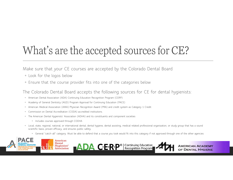## What's are the accepted sources for CE?

Make sure that your CE courses are accepted by the Colorado Dental Board

- Look for the logos below
- Ensure that the course provider fits into one of the categories below

The Colorado Dental Board accepts the following sources for CE for dental hygienists:

- American Dental Association (ADA) Continuing Education Recognition Program (CERP)
- Academy of General Dentistry (AGD) Program Approval for Continuing Education (PACE)
- American Medical Association (AMA) Physician Recognition Award (PRA) and credit system as Category 1 Credit
- Commission on Dental Accreditation (CODA) accredited institutions.
- The American Dental Hygienists' Association (ADHA) and its constituents and component societies
	- Includes courses approved through CODHA
- Local, state, regional, national, or international dental, dental hygiene, dental assisting, medical related professional organization, or study group that has a sound scientific basis, proven efficacy, and ensures public safety.
	-

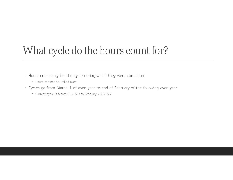#### What cycle do the hours count for?

- Hours count only for the cycle during which they were completed
	- Hours can not be "rolled over"
- Cycles go from March 1 of even year to end of February of the following even year
	- Current cycle is March 1, 2020 to February 28, 2022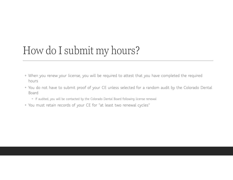#### How do I submit my hours?

- When you renew your license, you will be required to attest that you have completed the required hours
- You do not have to submit proof of your CE unless selected for a random audit by the Colorado Dental Board
	- If audited, you will be contacted by the Colorado Dental Board following license renewal
- You must retain records of your CE for "at least two renewal cycles"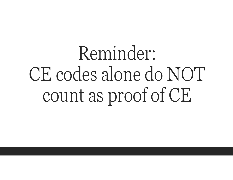# Reminder: CE codes alone do NOT count as proof of CE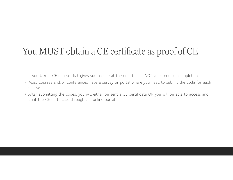#### You MUST obtain a CE certificate as proof of CE

- If you take a CE course that gives you a code at the end, that is NOT your proof of completion
- Most courses and/or conferences have a survey or portal where you need to submit the code for each course
- After submitting the codes, you will either be sent a CE certificate OR you will be able to access and print the CE certificate through the online portal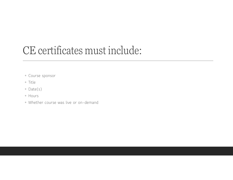#### CE certificates must include:

- Course sponsor
- Title
- Date(s)
- Hours
- Whether course was live or on-demand